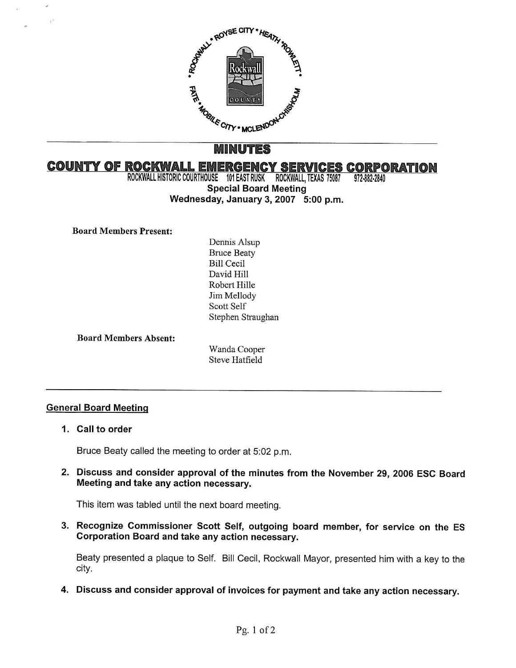

# MINUTES

# **COUNTY OF ROCKWALL EMERGENCY SERVICES CORPORATION**<br>ROCKWALL HISTORIC COURTHOUSE 101 EAST RUSK ROCKWALL, TEXAS 75087 972-882-2840

ROCKWALL HISTORIC COURTHOUSE 101 EAST RUSK ROCKWALL, TEXAS 75087 Special Board Meeting Wednesday, January 3, 2007 5:00 p.m.

## Board Members Present:

Dennis Alsup Bruce Beaty Bill Cecil David Hill Robert Hille Jim Mellody Scott Self Stephen Straughan

Board Members Absent:

Wanda Cooper Steve Hatfield

# General Board Meeting

1. Call to order

Bruce Beaty called the meeting to order at 5:02 p.m.

2. Discuss and consider approval of the minutes from the November 29, 2006 ESC Board Meeting and take any action necessary.

This item was tabled until the next board meeting.

3. Recognize Commissioner Scott Self, outgoing board member, for service on the ES Corporation Board and take any action necessary.

Beaty presented a plaque to Self. Bill Cecil, Rockwall Mayor, presented him with a key to the city.

4. Discuss and consider approval of invoices for payment and take any action necessary.